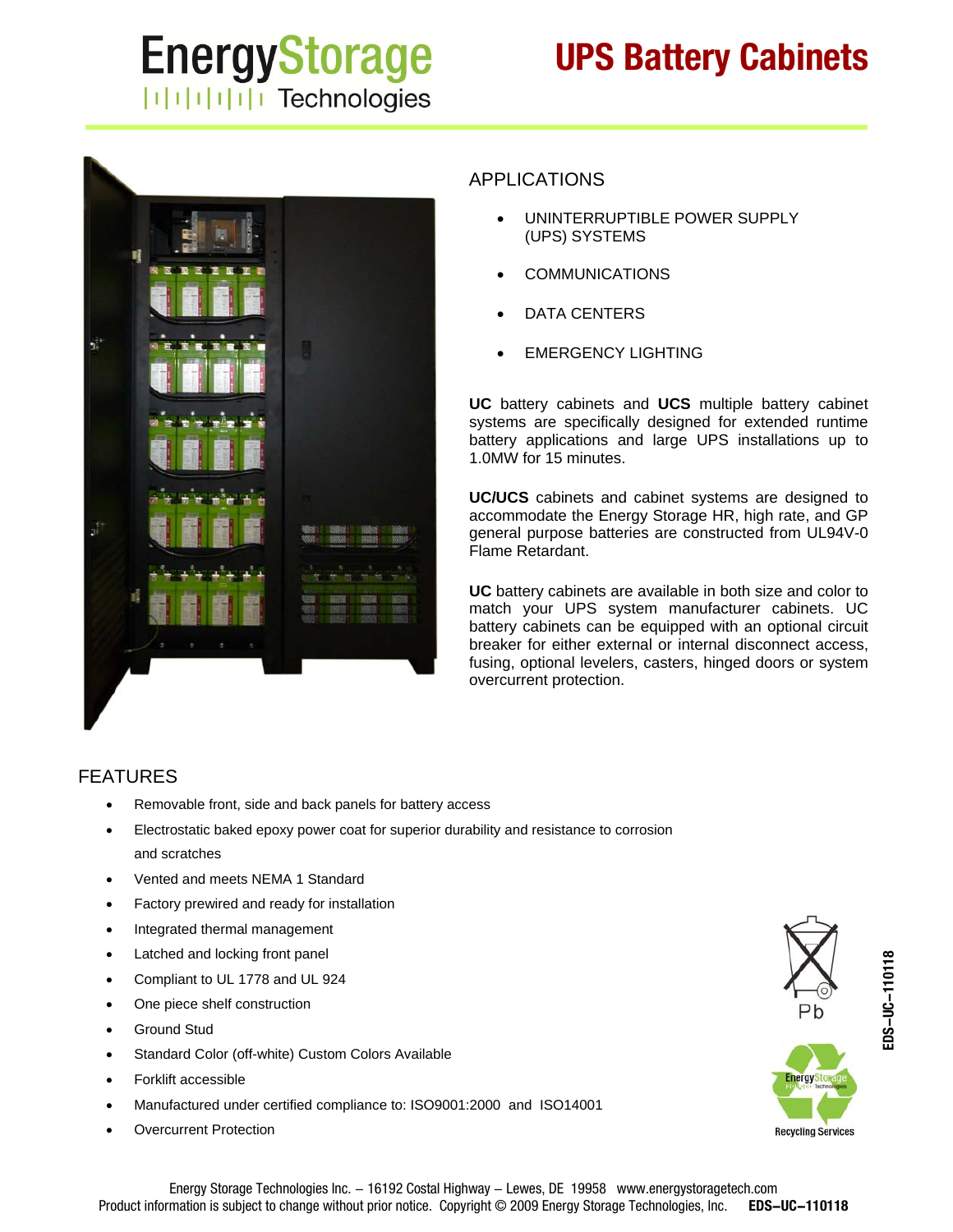# **EnergyStorage ITITITITI** Technologies

# **UPS Battery Cabinets**



## APPLICATIONS

- UNINTERRUPTIBLE POWER SUPPLY (UPS) SYSTEMS
- COMMUNICATIONS
- DATA CENTERS
- EMERGENCY LIGHTING

**UC** battery cabinets and **UCS** multiple battery cabinet systems are specifically designed for extended runtime battery applications and large UPS installations up to 1.0MW for 15 minutes.

**UC/UCS** cabinets and cabinet systems are designed to accommodate the Energy Storage HR, high rate, and GP general purpose batteries are constructed from UL94V-0 Flame Retardant.

**UC** battery cabinets are available in both size and color to match your UPS system manufacturer cabinets. UC battery cabinets can be equipped with an optional circuit breaker for either external or internal disconnect access, fusing, optional levelers, casters, hinged doors or system overcurrent protection.

#### FEATURES

- Removable front, side and back panels for battery access
- Electrostatic baked epoxy power coat for superior durability and resistance to corrosion and scratches
- Vented and meets NEMA 1 Standard
- Factory prewired and ready for installation
- Integrated thermal management
- Latched and locking front panel
- Compliant to UL 1778 and UL 924
- One piece shelf construction
- Ground Stud
- Standard Color (off-white) Custom Colors Available
- Forklift accessible
- Manufactured under certified compliance to: ISO9001:2000 and ISO14001
- Overcurrent Protection



**Recycling Services**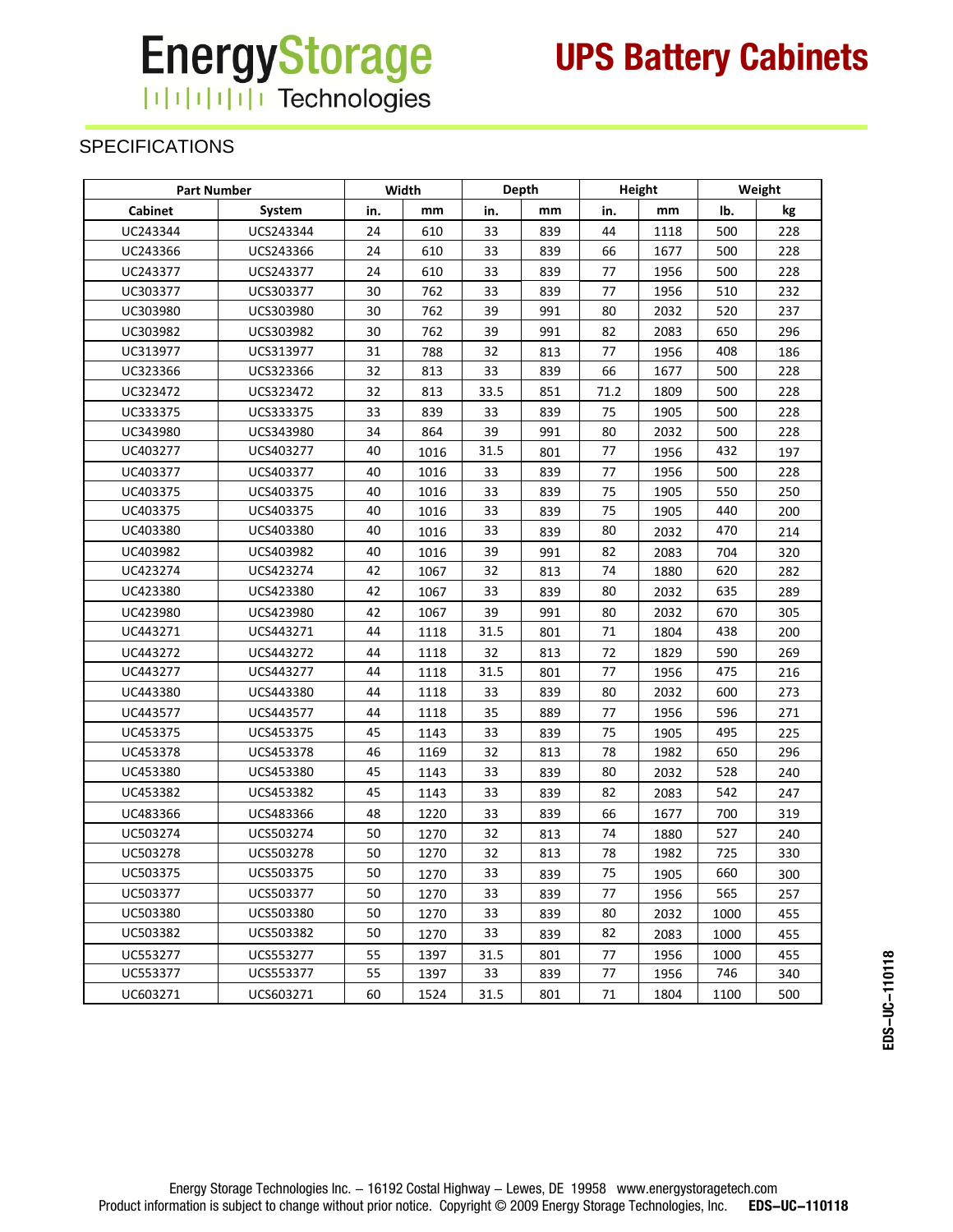## **EnergyStorage** HHHHH Technologies

SPECIFICATIONS

| <b>Part Number</b> |           | Width |      | Depth |     | Height |      | Weight |     |
|--------------------|-----------|-------|------|-------|-----|--------|------|--------|-----|
| <b>Cabinet</b>     | System    | in.   | mm   | in.   | mm  | in.    | mm   | lb.    | kg  |
| UC243344           | UCS243344 | 24    | 610  | 33    | 839 | 44     | 1118 | 500    | 228 |
| UC243366           | UCS243366 | 24    | 610  | 33    | 839 | 66     | 1677 | 500    | 228 |
| UC243377           | UCS243377 | 24    | 610  | 33    | 839 | 77     | 1956 | 500    | 228 |
| UC303377           | UCS303377 | 30    | 762  | 33    | 839 | 77     | 1956 | 510    | 232 |
| UC303980           | UCS303980 | 30    | 762  | 39    | 991 | 80     | 2032 | 520    | 237 |
| UC303982           | UCS303982 | 30    | 762  | 39    | 991 | 82     | 2083 | 650    | 296 |
| UC313977           | UCS313977 | 31    | 788  | 32    | 813 | 77     | 1956 | 408    | 186 |
| UC323366           | UCS323366 | 32    | 813  | 33    | 839 | 66     | 1677 | 500    | 228 |
| UC323472           | UCS323472 | 32    | 813  | 33.5  | 851 | 71.2   | 1809 | 500    | 228 |
| UC333375           | UCS333375 | 33    | 839  | 33    | 839 | 75     | 1905 | 500    | 228 |
| UC343980           | UCS343980 | 34    | 864  | 39    | 991 | 80     | 2032 | 500    | 228 |
| UC403277           | UCS403277 | 40    | 1016 | 31.5  | 801 | 77     | 1956 | 432    | 197 |
| UC403377           | UCS403377 | 40    | 1016 | 33    | 839 | 77     | 1956 | 500    | 228 |
| UC403375           | UCS403375 | 40    | 1016 | 33    | 839 | 75     | 1905 | 550    | 250 |
| UC403375           | UCS403375 | 40    | 1016 | 33    | 839 | 75     | 1905 | 440    | 200 |
| UC403380           | UCS403380 | 40    | 1016 | 33    | 839 | 80     | 2032 | 470    | 214 |
| UC403982           | UCS403982 | 40    | 1016 | 39    | 991 | 82     | 2083 | 704    | 320 |
| UC423274           | UCS423274 | 42    | 1067 | 32    | 813 | 74     | 1880 | 620    | 282 |
| UC423380           | UCS423380 | 42    | 1067 | 33    | 839 | 80     | 2032 | 635    | 289 |
| UC423980           | UCS423980 | 42    | 1067 | 39    | 991 | 80     | 2032 | 670    | 305 |
| UC443271           | UCS443271 | 44    | 1118 | 31.5  | 801 | 71     | 1804 | 438    | 200 |
| UC443272           | UCS443272 | 44    | 1118 | 32    | 813 | 72     | 1829 | 590    | 269 |
| UC443277           | UCS443277 | 44    | 1118 | 31.5  | 801 | 77     | 1956 | 475    | 216 |
| UC443380           | UCS443380 | 44    | 1118 | 33    | 839 | 80     | 2032 | 600    | 273 |
| UC443577           | UCS443577 | 44    | 1118 | 35    | 889 | 77     | 1956 | 596    | 271 |
| UC453375           | UCS453375 | 45    | 1143 | 33    | 839 | 75     | 1905 | 495    | 225 |
| UC453378           | UCS453378 | 46    | 1169 | 32    | 813 | 78     | 1982 | 650    | 296 |
| UC453380           | UCS453380 | 45    | 1143 | 33    | 839 | 80     | 2032 | 528    | 240 |
| UC453382           | UCS453382 | 45    | 1143 | 33    | 839 | 82     | 2083 | 542    | 247 |
| UC483366           | UCS483366 | 48    | 1220 | 33    | 839 | 66     | 1677 | 700    | 319 |
| UC503274           | UCS503274 | 50    | 1270 | 32    | 813 | 74     | 1880 | 527    | 240 |
| UC503278           | UCS503278 | 50    | 1270 | 32    | 813 | 78     | 1982 | 725    | 330 |
| UC503375           | UCS503375 | 50    | 1270 | 33    | 839 | 75     | 1905 | 660    | 300 |
| UC503377           | UCS503377 | 50    | 1270 | 33    | 839 | 77     | 1956 | 565    | 257 |
| UC503380           | UCS503380 | 50    | 1270 | 33    | 839 | 80     | 2032 | 1000   | 455 |
| UC503382           | UCS503382 | 50    | 1270 | 33    | 839 | 82     | 2083 | 1000   | 455 |
| UC553277           | UCS553277 | 55    | 1397 | 31.5  | 801 | 77     | 1956 | 1000   | 455 |
| UC553377           | UCS553377 | 55    | 1397 | 33    | 839 | 77     | 1956 | 746    | 340 |
| UC603271           | UCS603271 | 60    | 1524 | 31.5  | 801 | 71     | 1804 | 1100   | 500 |